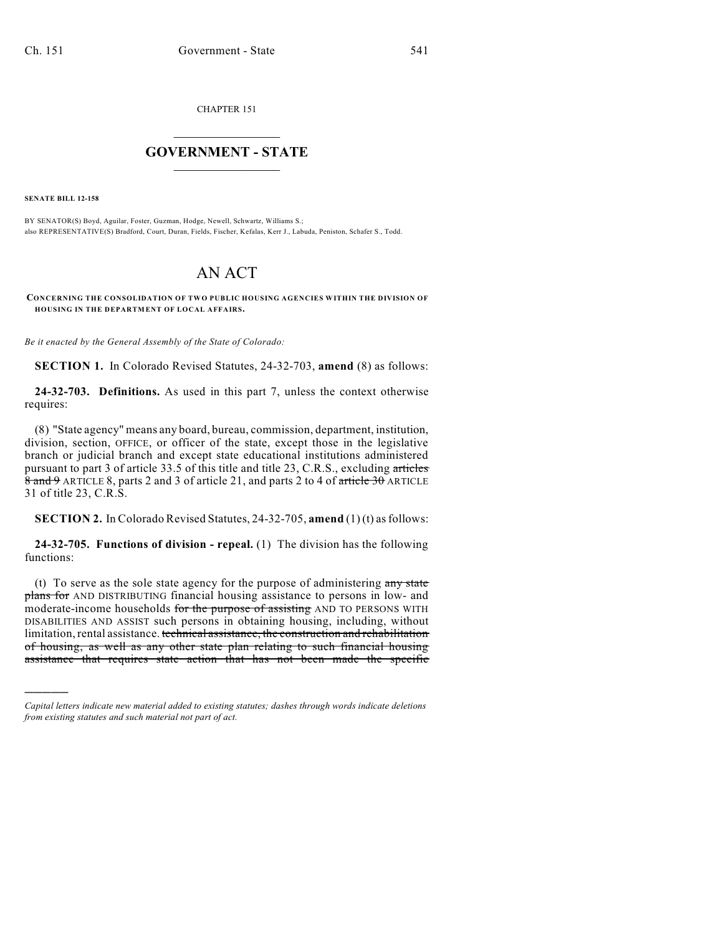CHAPTER 151

## $\overline{\phantom{a}}$  . The set of the set of the set of the set of the set of the set of the set of the set of the set of the set of the set of the set of the set of the set of the set of the set of the set of the set of the set o **GOVERNMENT - STATE**  $\_$

**SENATE BILL 12-158**

)))))

BY SENATOR(S) Boyd, Aguilar, Foster, Guzman, Hodge, Newell, Schwartz, Williams S.; also REPRESENTATIVE(S) Bradford, Court, Duran, Fields, Fischer, Kefalas, Kerr J., Labuda, Peniston, Schafer S., Todd.

## AN ACT

**CONCERNING THE CONSOLIDATION OF TWO PUBLIC HOUSING AGENCIES WITHIN THE DIVISION OF HOUSING IN THE DEPARTMENT OF LOCAL AFFAIRS.**

*Be it enacted by the General Assembly of the State of Colorado:*

**SECTION 1.** In Colorado Revised Statutes, 24-32-703, **amend** (8) as follows:

**24-32-703. Definitions.** As used in this part 7, unless the context otherwise requires:

(8) "State agency" means any board, bureau, commission, department, institution, division, section, OFFICE, or officer of the state, except those in the legislative branch or judicial branch and except state educational institutions administered pursuant to part 3 of article 33.5 of this title and title 23, C.R.S., excluding articles  $\frac{8}{8}$  and  $\frac{9}{9}$  ARTICLE 8, parts 2 and 3 of article 21, and parts 2 to 4 of article 30 ARTICLE 31 of title 23, C.R.S.

**SECTION 2.** In Colorado Revised Statutes, 24-32-705, **amend** (1) (t) as follows:

**24-32-705. Functions of division - repeal.** (1) The division has the following functions:

(t) To serve as the sole state agency for the purpose of administering  $\frac{any}{end}$ plans for AND DISTRIBUTING financial housing assistance to persons in low- and moderate-income households for the purpose of assisting AND TO PERSONS WITH DISABILITIES AND ASSIST such persons in obtaining housing, including, without limitation, rental assistance. technical assistance, the construction and rehabilitation of housing, as well as any other state plan relating to such financial housing assistance that requires state action that has not been made the specific

*Capital letters indicate new material added to existing statutes; dashes through words indicate deletions from existing statutes and such material not part of act.*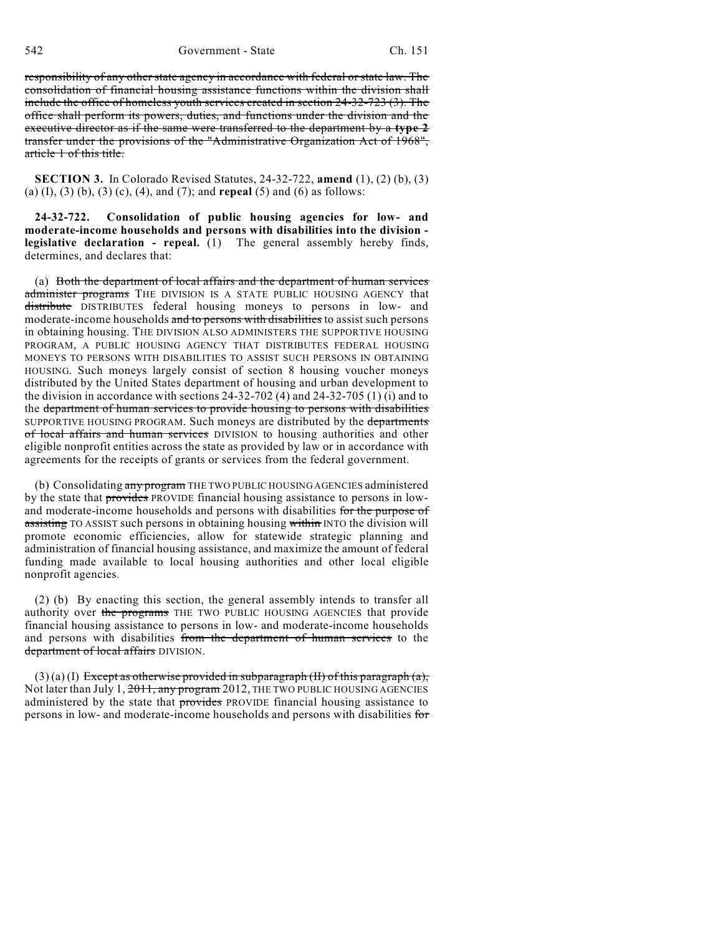542 Government - State Ch. 151

responsibility of any other state agency in accordance with federal or state law. The consolidation of financial housing assistance functions within the division shall include the office of homeless youth services created in section 24-32-723 (3). The office shall perform its powers, duties, and functions under the division and the executive director as if the same were transferred to the department by a **type 2** transfer under the provisions of the "Administrative Organization Act of 1968", article 1 of this title.

**SECTION 3.** In Colorado Revised Statutes, 24-32-722, **amend** (1), (2) (b), (3) (a) (I), (3) (b), (3) (c), (4), and (7); and **repeal** (5) and (6) as follows:

**24-32-722. Consolidation of public housing agencies for low- and moderate-income households and persons with disabilities into the division legislative declaration - repeal.** (1) The general assembly hereby finds, determines, and declares that:

(a) Both the department of local affairs and the department of human services administer programs THE DIVISION IS A STATE PUBLIC HOUSING AGENCY that distribute DISTRIBUTES federal housing moneys to persons in low- and moderate-income households and to persons with disabilities to assist such persons in obtaining housing. THE DIVISION ALSO ADMINISTERS THE SUPPORTIVE HOUSING PROGRAM, A PUBLIC HOUSING AGENCY THAT DISTRIBUTES FEDERAL HOUSING MONEYS TO PERSONS WITH DISABILITIES TO ASSIST SUCH PERSONS IN OBTAINING HOUSING. Such moneys largely consist of section 8 housing voucher moneys distributed by the United States department of housing and urban development to the division in accordance with sections 24-32-702 (4) and 24-32-705 (1) (i) and to the department of human services to provide housing to persons with disabilities SUPPORTIVE HOUSING PROGRAM. Such moneys are distributed by the departments of local affairs and human services DIVISION to housing authorities and other eligible nonprofit entities across the state as provided by law or in accordance with agreements for the receipts of grants or services from the federal government.

(b) Consolidating any program THE TWO PUBLIC HOUSING AGENCIES administered by the state that **provides** PROVIDE financial housing assistance to persons in lowand moderate-income households and persons with disabilities for the purpose of assisting TO ASSIST such persons in obtaining housing within INTO the division will promote economic efficiencies, allow for statewide strategic planning and administration of financial housing assistance, and maximize the amount of federal funding made available to local housing authorities and other local eligible nonprofit agencies.

(2) (b) By enacting this section, the general assembly intends to transfer all authority over the programs THE TWO PUBLIC HOUSING AGENCIES that provide financial housing assistance to persons in low- and moderate-income households and persons with disabilities from the department of human services to the department of local affairs DIVISION.

 $(3)$  (a) (I) Except as otherwise provided in subparagraph (II) of this paragraph (a), Not later than July 1, 2011, any program 2012, THE TWO PUBLIC HOUSING AGENCIES administered by the state that provides PROVIDE financial housing assistance to persons in low- and moderate-income households and persons with disabilities for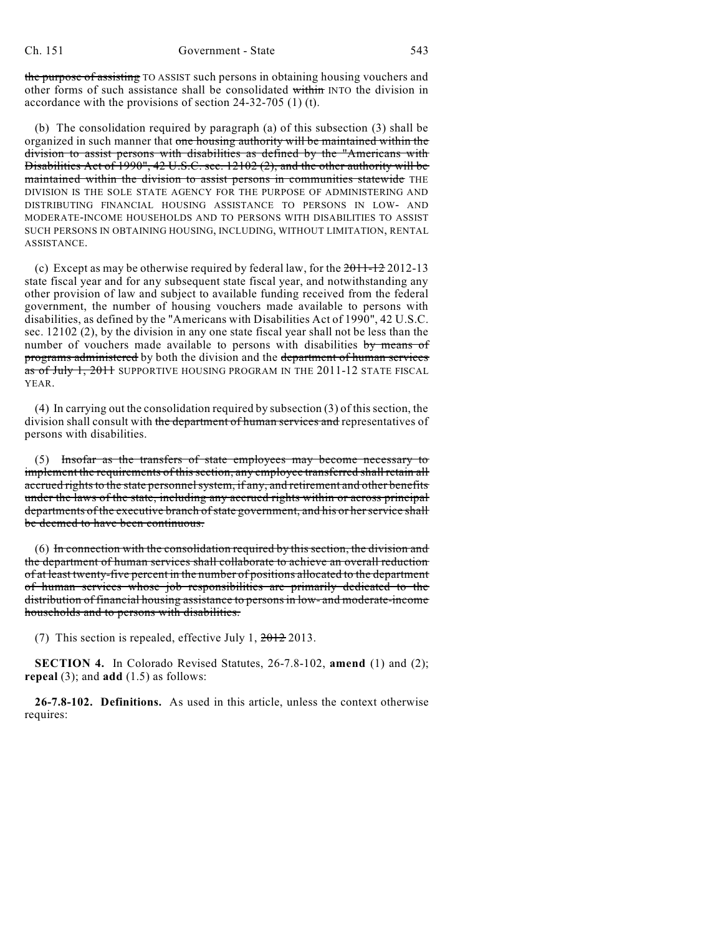the purpose of assisting TO ASSIST such persons in obtaining housing vouchers and other forms of such assistance shall be consolidated within INTO the division in accordance with the provisions of section 24-32-705 (1) (t).

(b) The consolidation required by paragraph (a) of this subsection (3) shall be organized in such manner that one housing authority will be maintained within the division to assist persons with disabilities as defined by the "Americans with Disabilities Act of 1990", 42 U.S.C. sec. 12102 (2), and the other authority will be maintained within the division to assist persons in communities statewide THE DIVISION IS THE SOLE STATE AGENCY FOR THE PURPOSE OF ADMINISTERING AND DISTRIBUTING FINANCIAL HOUSING ASSISTANCE TO PERSONS IN LOW- AND MODERATE-INCOME HOUSEHOLDS AND TO PERSONS WITH DISABILITIES TO ASSIST SUCH PERSONS IN OBTAINING HOUSING, INCLUDING, WITHOUT LIMITATION, RENTAL ASSISTANCE.

(c) Except as may be otherwise required by federal law, for the  $2011-122$  2012-13 state fiscal year and for any subsequent state fiscal year, and notwithstanding any other provision of law and subject to available funding received from the federal government, the number of housing vouchers made available to persons with disabilities, as defined by the "Americans with Disabilities Act of 1990", 42 U.S.C. sec. 12102 (2), by the division in any one state fiscal year shall not be less than the number of vouchers made available to persons with disabilities by means of programs administered by both the division and the department of human services as of July 1, 2011 SUPPORTIVE HOUSING PROGRAM IN THE 2011-12 STATE FISCAL YEAR.

(4) In carrying out the consolidation required by subsection (3) of this section, the division shall consult with the department of human services and representatives of persons with disabilities.

(5) Insofar as the transfers of state employees may become necessary to implement the requirements of this section, any employee transferred shall retain all accrued rights to the state personnel system, if any, and retirement and other benefits under the laws of the state, including any accrued rights within or across principal departments of the executive branch of state government, and his or her service shall be deemed to have been continuous.

(6) In connection with the consolidation required by this section, the division and the department of human services shall collaborate to achieve an overall reduction of at least twenty-five percent in the number of positions allocated to the department of human services whose job responsibilities are primarily dedicated to the distribution of financial housing assistance to personsin low- and moderate-income households and to persons with disabilities.

(7) This section is repealed, effective July 1,  $2012$  2013.

**SECTION 4.** In Colorado Revised Statutes, 26-7.8-102, **amend** (1) and (2); **repeal** (3); and **add** (1.5) as follows:

**26-7.8-102. Definitions.** As used in this article, unless the context otherwise requires: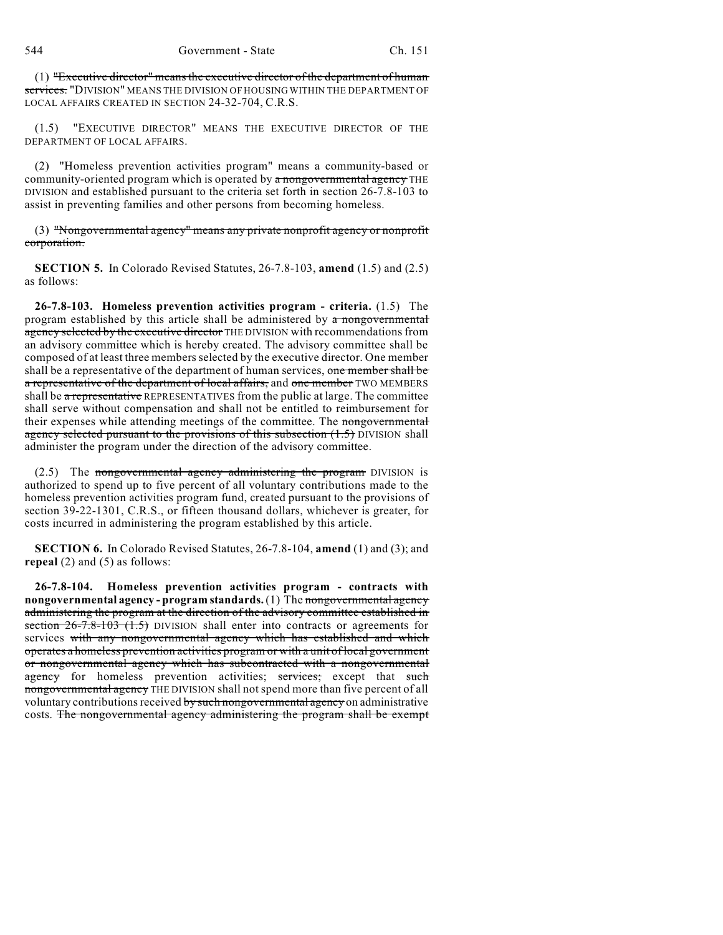(1) "Executive director" meansthe executive director of the department of human services. "DIVISION" MEANS THE DIVISION OF HOUSING WITHIN THE DEPARTMENT OF LOCAL AFFAIRS CREATED IN SECTION 24-32-704, C.R.S.

(1.5) "EXECUTIVE DIRECTOR" MEANS THE EXECUTIVE DIRECTOR OF THE DEPARTMENT OF LOCAL AFFAIRS.

(2) "Homeless prevention activities program" means a community-based or community-oriented program which is operated by a nongovernmental agency THE DIVISION and established pursuant to the criteria set forth in section 26-7.8-103 to assist in preventing families and other persons from becoming homeless.

(3) "Nongovernmental agency" means any private nonprofit agency or nonprofit corporation.

**SECTION 5.** In Colorado Revised Statutes, 26-7.8-103, **amend** (1.5) and (2.5) as follows:

**26-7.8-103. Homeless prevention activities program - criteria.** (1.5) The program established by this article shall be administered by  $\alpha$  nongovernmental agency selected by the executive director THE DIVISION with recommendations from an advisory committee which is hereby created. The advisory committee shall be composed of at least three membersselected by the executive director. One member shall be a representative of the department of human services, one member shall be a representative of the department of local affairs, and one member TWO MEMBERS shall be a representative REPRESENTATIVES from the public at large. The committee shall serve without compensation and shall not be entitled to reimbursement for their expenses while attending meetings of the committee. The nongovernmental agency selected pursuant to the provisions of this subsection  $(1.5)$  DIVISION shall administer the program under the direction of the advisory committee.

 $(2.5)$  The nongovernmental agency administering the program DIVISION is authorized to spend up to five percent of all voluntary contributions made to the homeless prevention activities program fund, created pursuant to the provisions of section 39-22-1301, C.R.S., or fifteen thousand dollars, whichever is greater, for costs incurred in administering the program established by this article.

**SECTION 6.** In Colorado Revised Statutes, 26-7.8-104, **amend** (1) and (3); and **repeal** (2) and (5) as follows:

**26-7.8-104. Homeless prevention activities program - contracts with nongovernmental agency - program standards.** (1) The nongovernmental agency administering the program at the direction of the advisory committee established in section  $26-7.8-103$   $(1.5)$  DIVISION shall enter into contracts or agreements for services with any nongovernmental agency which has established and which operates a homeless prevention activities program or with a unit of local government or nongovernmental agency which has subcontracted with a nongovernmental agency for homeless prevention activities; services; except that such nongovernmental agency THE DIVISION shall not spend more than five percent of all voluntary contributions received by such nongovernmental agency on administrative costs. The nongovernmental agency administering the program shall be exempt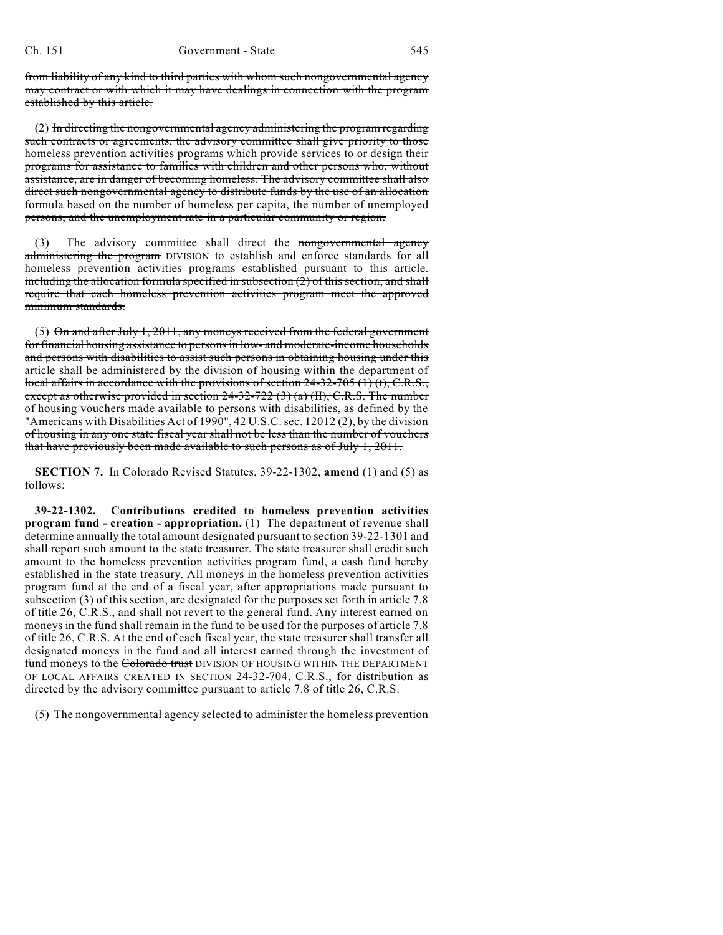from liability of any kind to third parties with whom such nongovernmental agency may contract or with which it may have dealings in connection with the program established by this article.

(2) In directing the nongovernmental agency administering the program regarding such contracts or agreements, the advisory committee shall give priority to those homeless prevention activities programs which provide services to or design their programs for assistance to families with children and other persons who, without assistance, are in danger of becoming homeless. The advisory committee shall also direct such nongovernmental agency to distribute funds by the use of an allocation formula based on the number of homeless per capita, the number of unemployed persons, and the unemployment rate in a particular community or region.

(3) The advisory committee shall direct the nongovernmental agency administering the program DIVISION to establish and enforce standards for all homeless prevention activities programs established pursuant to this article. including the allocation formula specified in subsection  $(2)$  of this section, and shall require that each homeless prevention activities program meet the approved minimum standards.

(5)  $\Theta$ n and after July 1, 2011, any moneys received from the federal government for financial housing assistance to persons in low- and moderate-income households and persons with disabilities to assist such persons in obtaining housing under this article shall be administered by the division of housing within the department of local affairs in accordance with the provisions of section  $24-32-705$  (1) (t), C.R.S., except as otherwise provided in section  $24-32-722$  (3) (a) (II), C.R.S. The number of housing vouchers made available to persons with disabilities, as defined by the "Americans with Disabilities Act of 1990", 42 U.S.C. sec. 12012 (2), by the division of housing in any one state fiscal year shall not be less than the number of vouchers that have previously been made available to such persons as of July 1, 2011.

**SECTION 7.** In Colorado Revised Statutes, 39-22-1302, **amend** (1) and (5) as follows:

**39-22-1302. Contributions credited to homeless prevention activities program fund - creation - appropriation.** (1) The department of revenue shall determine annually the total amount designated pursuant to section 39-22-1301 and shall report such amount to the state treasurer. The state treasurer shall credit such amount to the homeless prevention activities program fund, a cash fund hereby established in the state treasury. All moneys in the homeless prevention activities program fund at the end of a fiscal year, after appropriations made pursuant to subsection (3) of this section, are designated for the purposes set forth in article 7.8 of title 26, C.R.S., and shall not revert to the general fund. Any interest earned on moneys in the fund shall remain in the fund to be used for the purposes of article 7.8 of title 26, C.R.S. At the end of each fiscal year, the state treasurer shall transfer all designated moneys in the fund and all interest earned through the investment of fund moneys to the Colorado trust DIVISION OF HOUSING WITHIN THE DEPARTMENT OF LOCAL AFFAIRS CREATED IN SECTION 24-32-704, C.R.S., for distribution as directed by the advisory committee pursuant to article 7.8 of title 26, C.R.S.

(5) The nongovernmental agency selected to administer the homeless prevention